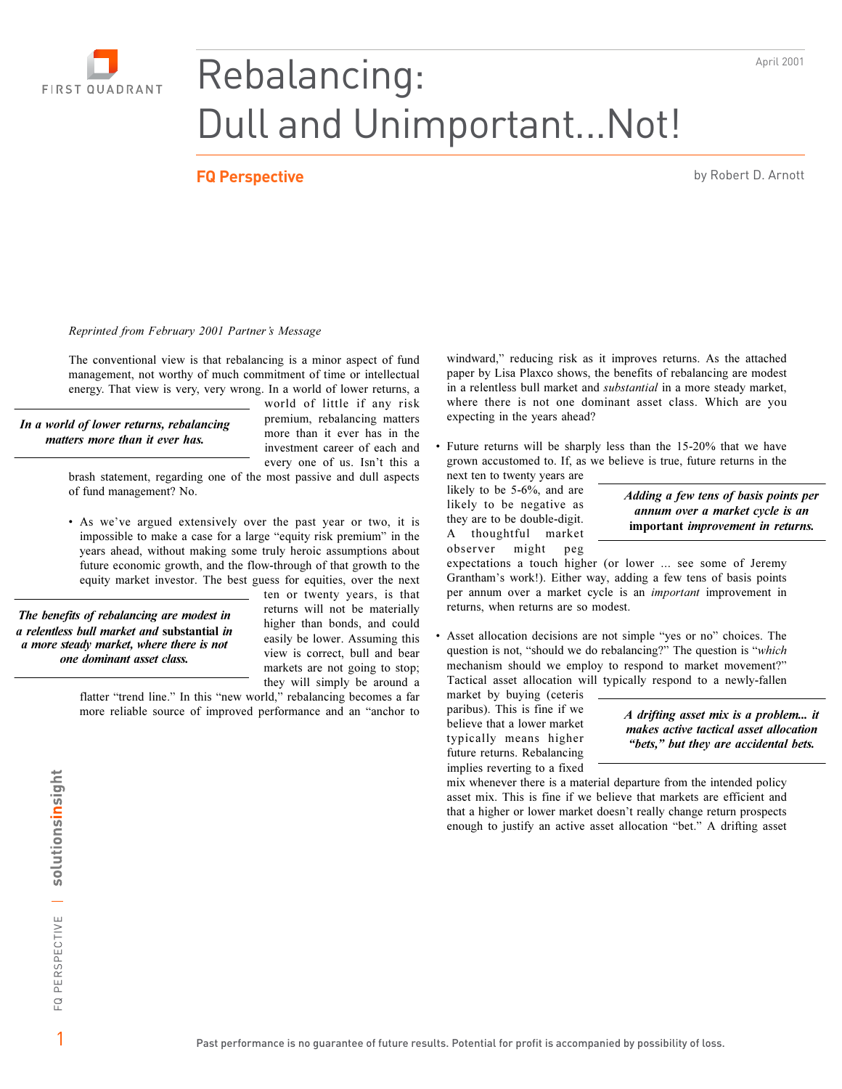

## Rebalancing: **Dull and Unimportant... Not!**

## **FQ Perspective**

by Robert D. Arnott

April 2001

## Reprinted from February 2001 Partner's Message

The conventional view is that rebalancing is a minor aspect of fund management, not worthy of much commitment of time or intellectual energy. That view is very, very wrong. In a world of lower returns, a

In a world of lower returns, rebalancing matters more than it ever has.

world of little if any risk premium, rebalancing matters more than it ever has in the investment career of each and every one of us. Isn't this a

brash statement, regarding one of the most passive and dull aspects of fund management? No.

• As we've argued extensively over the past year or two, it is impossible to make a case for a large "equity risk premium" in the years ahead, without making some truly heroic assumptions about future economic growth, and the flow-through of that growth to the equity market investor. The best guess for equities, over the next

The benefits of rebalancing are modest in a relentless bull market and substantial in a more steady market, where there is not one dominant asset class.

ten or twenty years, is that returns will not be materially higher than bonds, and could easily be lower. Assuming this view is correct, bull and bear markets are not going to stop; they will simply be around a

flatter "trend line." In this "new world," rebalancing becomes a far more reliable source of improved performance and an "anchor to windward," reducing risk as it improves returns. As the attached paper by Lisa Plaxco shows, the benefits of rebalancing are modest in a relentless bull market and *substantial* in a more steady market, where there is not one dominant asset class. Which are you expecting in the years ahead?

Future returns will be sharply less than the 15-20% that we have grown accustomed to. If, as we believe is true, future returns in the

next ten to twenty years are likely to be 5-6%, and are likely to be negative as they are to be double-digit. A thoughtful market might observer  $peg$ 

Adding a few tens of basis points per annum over a market cycle is an important improvement in returns.

expectations a touch higher (or lower ... see some of Jeremy Grantham's work!). Either way, adding a few tens of basis points per annum over a market cycle is an *important* improvement in returns, when returns are so modest.

Asset allocation decisions are not simple "yes or no" choices. The question is not, "should we do rebalancing?" The question is "which mechanism should we employ to respond to market movement?" Tactical asset allocation will typically respond to a newly-fallen

market by buying (ceteris paribus). This is fine if we believe that a lower market typically means higher future returns. Rebalancing implies reverting to a fixed

A drifting asset mix is a problem... it makes active tactical asset allocation "bets," but they are accidental bets.

mix whenever there is a material departure from the intended policy asset mix. This is fine if we believe that markets are efficient and that a higher or lower market doesn't really change return prospects enough to justify an active asset allocation "bet." A drifting asset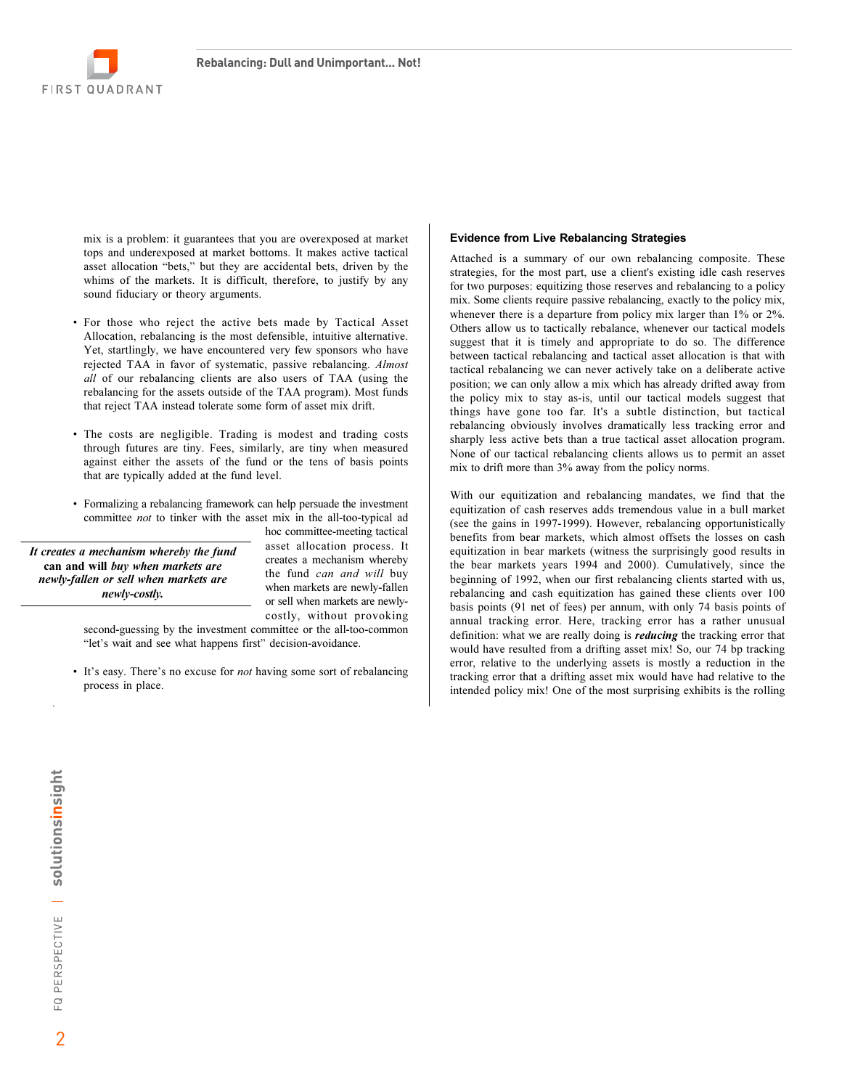

mix is a problem: it guarantees that you are overexposed at market tops and underexposed at market bottoms. It makes active tactical asset allocation "bets," but they are accidental bets, driven by the whims of the markets. It is difficult, therefore, to justify by any sound fiduciary or theory arguments.

- For those who reject the active bets made by Tactical Asset Allocation, rebalancing is the most defensible, intuitive alternative. Yet, startlingly, we have encountered very few sponsors who have rejected TAA in favor of systematic, passive rebalancing. Almost all of our rebalancing clients are also users of TAA (using the rebalancing for the assets outside of the TAA program). Most funds that reject TAA instead tolerate some form of asset mix drift.
- The costs are negligible. Trading is modest and trading costs through futures are tiny. Fees, similarly, are tiny when measured against either the assets of the fund or the tens of basis points that are typically added at the fund level.
- Formalizing a rebalancing framework can help persuade the investment committee *not* to tinker with the asset mix in the all-too-typical ad

It creates a mechanism whereby the fund can and will buy when markets are newly-fallen or sell when markets are newly-costly.

hoc committee-meeting tactical asset allocation process. It creates a mechanism whereby the fund can and will buy when markets are newly-fallen or sell when markets are newlycostly, without provoking

second-guessing by the investment committee or the all-too-common "let's wait and see what happens first" decision-avoidance.

• It's easy. There's no excuse for *not* having some sort of rebalancing process in place.

## **Evidence from Live Rebalancing Strategies**

Attached is a summary of our own rebalancing composite. These strategies, for the most part, use a client's existing idle cash reserves for two purposes: equitizing those reserves and rebalancing to a policy mix. Some clients require passive rebalancing, exactly to the policy mix, whenever there is a departure from policy mix larger than 1% or 2%. Others allow us to tactically rebalance, whenever our tactical models suggest that it is timely and appropriate to do so. The difference between tactical rebalancing and tactical asset allocation is that with tactical rebalancing we can never actively take on a deliberate active position; we can only allow a mix which has already drifted away from the policy mix to stay as-is, until our tactical models suggest that things have gone too far. It's a subtle distinction, but tactical rebalancing obviously involves dramatically less tracking error and sharply less active bets than a true tactical asset allocation program. None of our tactical rebalancing clients allows us to permit an asset mix to drift more than 3% away from the policy norms.

With our equitization and rebalancing mandates, we find that the equitization of cash reserves adds tremendous value in a bull market (see the gains in 1997-1999). However, rebalancing opportunistically benefits from bear markets, which almost offsets the losses on cash equitization in bear markets (witness the surprisingly good results in the bear markets years 1994 and 2000). Cumulatively, since the beginning of 1992, when our first rebalancing clients started with us, rebalancing and cash equitization has gained these clients over 100 basis points (91 net of fees) per annum, with only 74 basis points of annual tracking error. Here, tracking error has a rather unusual definition: what we are really doing is *reducing* the tracking error that would have resulted from a drifting asset mix! So, our 74 bp tracking error, relative to the underlying assets is mostly a reduction in the tracking error that a drifting asset mix would have had relative to the intended policy mix! One of the most surprising exhibits is the rolling